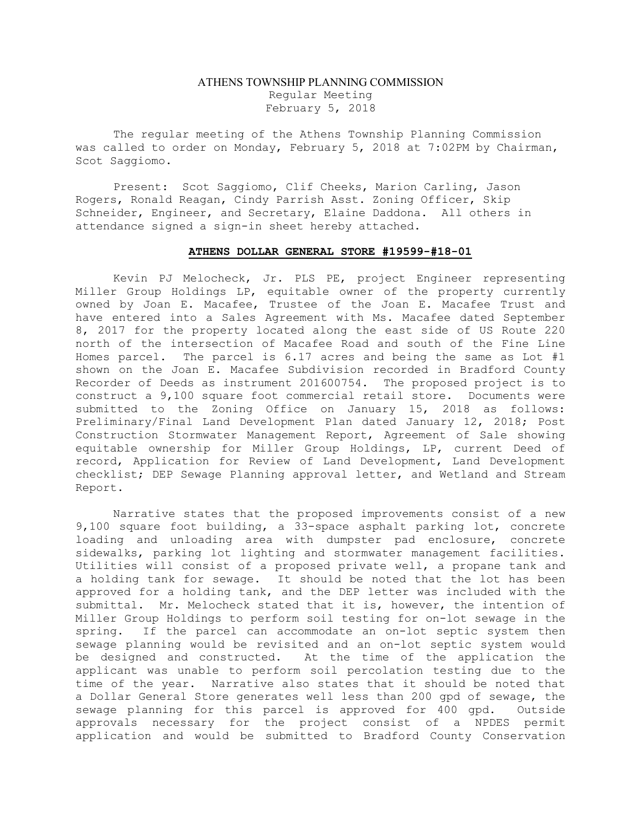## ATHENS TOWNSHIP PLANNING COMMISSION Regular Meeting February 5, 2018

The regular meeting of the Athens Township Planning Commission was called to order on Monday, February 5, 2018 at 7:02PM by Chairman, Scot Saggiomo.

Present: Scot Saggiomo, Clif Cheeks, Marion Carling, Jason Rogers, Ronald Reagan, Cindy Parrish Asst. Zoning Officer, Skip Schneider, Engineer, and Secretary, Elaine Daddona. All others in attendance signed a sign-in sheet hereby attached.

## ATHENS DOLLAR GENERAL STORE #19599-#18-01

Kevin PJ Melocheck, Jr. PLS PE, project Engineer representing Miller Group Holdings LP, equitable owner of the property currently owned by Joan E. Macafee, Trustee of the Joan E. Macafee Trust and have entered into a Sales Agreement with Ms. Macafee dated September 8, 2017 for the property located along the east side of US Route 220 north of the intersection of Macafee Road and south of the Fine Line Homes parcel. The parcel is 6.17 acres and being the same as Lot #1 shown on the Joan E. Macafee Subdivision recorded in Bradford County Recorder of Deeds as instrument 201600754. The proposed project is to construct a 9,100 square foot commercial retail store. Documents were submitted to the Zoning Office on January 15, 2018 as follows: Preliminary/Final Land Development Plan dated January 12, 2018; Post Construction Stormwater Management Report, Agreement of Sale showing equitable ownership for Miller Group Holdings, LP, current Deed of record, Application for Review of Land Development, Land Development checklist; DEP Sewage Planning approval letter, and Wetland and Stream Report.

Narrative states that the proposed improvements consist of a new 9,100 square foot building, a 33-space asphalt parking lot, concrete loading and unloading area with dumpster pad enclosure, concrete sidewalks, parking lot lighting and stormwater management facilities. Utilities will consist of a proposed private well, a propane tank and a holding tank for sewage. It should be noted that the lot has been approved for a holding tank, and the DEP letter was included with the submittal. Mr. Melocheck stated that it is, however, the intention of Miller Group Holdings to perform soil testing for on-lot sewage in the spring. If the parcel can accommodate an on-lot septic system then sewage planning would be revisited and an on-lot septic system would be designed and constructed. At the time of the application the applicant was unable to perform soil percolation testing due to the time of the year. Narrative also states that it should be noted that a Dollar General Store generates well less than 200 gpd of sewage, the sewage planning for this parcel is approved for 400 gpd. Outside approvals necessary for the project consist of a NPDES permit application and would be submitted to Bradford County Conservation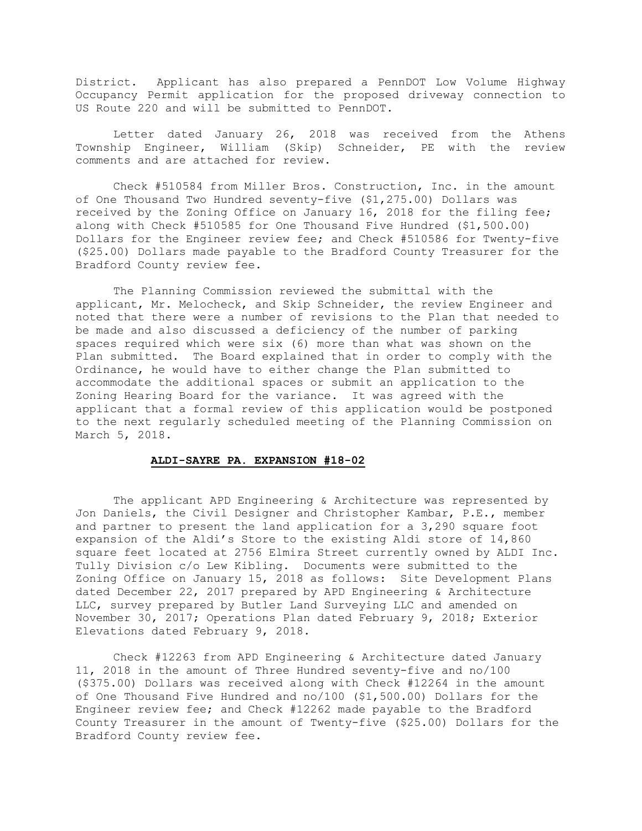District. Applicant has also prepared a PennDOT Low Volume Highway Occupancy Permit application for the proposed driveway connection to US Route 220 and will be submitted to PennDOT.

Letter dated January 26, 2018 was received from the Athens Township Engineer, William (Skip) Schneider, PE with the review comments and are attached for review.

Check #510584 from Miller Bros. Construction, Inc. in the amount of One Thousand Two Hundred seventy-five (\$1,275.00) Dollars was received by the Zoning Office on January 16, 2018 for the filing fee; along with Check #510585 for One Thousand Five Hundred (\$1,500.00) Dollars for the Engineer review fee; and Check #510586 for Twenty-five (\$25.00) Dollars made payable to the Bradford County Treasurer for the Bradford County review fee.

The Planning Commission reviewed the submittal with the applicant, Mr. Melocheck, and Skip Schneider, the review Engineer and noted that there were a number of revisions to the Plan that needed to be made and also discussed a deficiency of the number of parking spaces required which were six (6) more than what was shown on the Plan submitted. The Board explained that in order to comply with the Ordinance, he would have to either change the Plan submitted to accommodate the additional spaces or submit an application to the Zoning Hearing Board for the variance. It was agreed with the applicant that a formal review of this application would be postponed to the next regularly scheduled meeting of the Planning Commission on March 5, 2018.

## ALDI-SAYRE PA. EXPANSION #18-02

The applicant APD Engineering & Architecture was represented by Jon Daniels, the Civil Designer and Christopher Kambar, P.E., member and partner to present the land application for a 3,290 square foot expansion of the Aldi's Store to the existing Aldi store of 14,860 square feet located at 2756 Elmira Street currently owned by ALDI Inc. Tully Division c/o Lew Kibling. Documents were submitted to the Zoning Office on January 15, 2018 as follows: Site Development Plans dated December 22, 2017 prepared by APD Engineering & Architecture LLC, survey prepared by Butler Land Surveying LLC and amended on November 30, 2017; Operations Plan dated February 9, 2018; Exterior Elevations dated February 9, 2018.

Check #12263 from APD Engineering & Architecture dated January 11, 2018 in the amount of Three Hundred seventy-five and no/100 (\$375.00) Dollars was received along with Check #12264 in the amount of One Thousand Five Hundred and no/100 (\$1,500.00) Dollars for the Engineer review fee; and Check #12262 made payable to the Bradford County Treasurer in the amount of Twenty-five (\$25.00) Dollars for the Bradford County review fee.